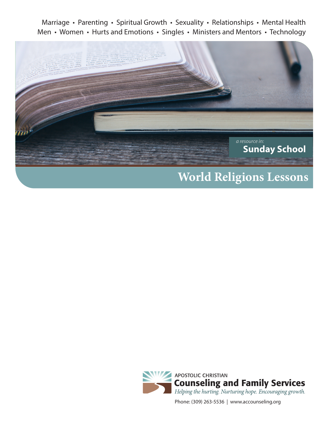Marriage • Parenting • Spiritual Growth • Sexuality • Relationships • Mental Health Men • Women • Hurts and Emotions • Singles • Ministers and Mentors • Technology



# **World Religions Lessons**



Phone: (309) 263-5536 | www.accounseling.org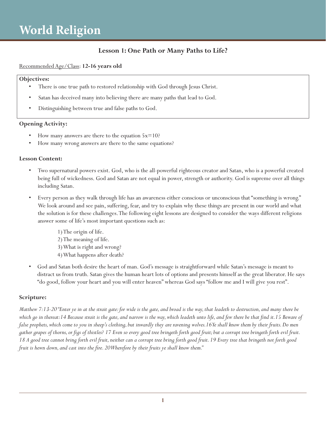### **Lesson 1: One Path or Many Paths to Life?**

#### Recommended Age/Class: **12-16 years old**

#### **Objectives:**

- There is one true path to restored relationship with God through Jesus Christ.
- Satan has deceived many into believing there are many paths that lead to God.
- Distinguishing between true and false paths to God.

#### **Opening Activity:**

- How many answers are there to the equation  $5x=10$ ?
- How many wrong answers are there to the same equations?

#### **Lesson Content:**

- Two supernatural powers exist. God, who is the all-powerful righteous creator and Satan, who is a powerful created being full of wickedness. God and Satan are not equal in power, strength or authority. God is supreme over all things including Satan.
- Every person as they walk through life has an awareness either conscious or unconscious that "something is wrong." We look around and see pain, suffering, fear, and try to explain why these things are present in our world and what the solution is for these challenges. The following eight lessons are designed to consider the ways different religions answer some of life's most important questions such as:
	- 1) The origin of life. 2) The meaning of life. 3) What is right and wrong? 4) What happens after death?
- God and Satan both desire the heart of man. God's message is straightforward while Satan's message is meant to distract us from truth. Satan gives the human heart lots of options and presents himself as the great liberator. He says "do good, follow your heart and you will enter heaven" whereas God says "follow me and I will give you rest".

#### **Scripture:**

*Matthew 7:13-20 "Enter ye in at the strait gate: for wide is the gate, and broad is the way, that leadeth to destruction, and many there be which go in thereat:14 Because strait is the gate, and narrow is the way, which leadeth unto life, and few there be that find it.15 Beware of false prophets, which come to you in sheep's clothing, but inwardly they are ravening wolves.16 Ye shall know them by their fruits. Do men gather grapes of thorns, or figs of thistles? 17 Even so every good tree bringeth forth good fruit; but a corrupt tree bringeth forth evil fruit.*  18 A good tree cannot bring forth evil fruit, neither can a corrupt tree bring forth good fruit. 19 Every tree that bringeth not forth good *fruit is hewn down, and cast into the fire. 20 Wherefore by their fruits ye shall know them."*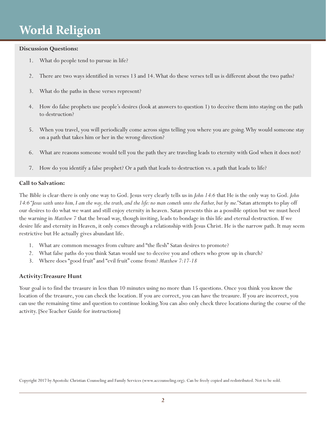#### **Discussion Questions:**

- 1. What do people tend to pursue in life?
- 2. There are two ways identified in verses 13 and 14. What do these verses tell us is different about the two paths?
- 3. What do the paths in these verses represent?
- 4. How do false prophets use people's desires (look at answers to question 1) to deceive them into staying on the path to destruction?
- 5. When you travel, you will periodically come across signs telling you where you are going. Why would someone stay on a path that takes him or her in the wrong direction?
- 6. What are reasons someone would tell you the path they are traveling leads to eternity with God when it does not?
- 7. How do you identify a false prophet? Or a path that leads to destruction vs. a path that leads to life?

#### **Call to Salvation:**

The Bible is clear-there is only one way to God. Jesus very clearly tells us in *John 14:6* that He is the only way to God. *John 14:6 "Jesus saith unto him, I am the way, the truth, and the life: no man cometh unto the Father, but by me."* Satan attempts to play off our desires to do what we want and still enjoy eternity in heaven. Satan presents this as a possible option but we must heed the warning in *Matthew 7* that the broad way, though inviting, leads to bondage in this life and eternal destruction. If we desire life and eternity in Heaven, it only comes through a relationship with Jesus Christ. He is the narrow path. It may seem restrictive but He actually gives abundant life.

- 1. What are common messages from culture and "the flesh" Satan desires to promote?
- 2. What false paths do you think Satan would use to deceive you and others who grow up in church?
- 3. Where does "good fruit" and "evil fruit" come from? *Matthew 7:17-18*

#### **Activity: Treasure Hunt**

Your goal is to find the treasure in less than 10 minutes using no more than 15 questions. Once you think you know the location of the treasure, you can check the location. If you are correct, you can have the treasure. If you are incorrect, you can use the remaining time and question to continue looking. You can also only check three locations during the course of the activity. [See Teacher Guide for instructions]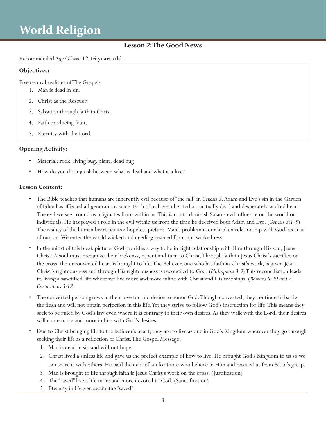### **Lesson 2: The Good News**

#### Recommended Age/Class: **12-16 years old**

#### **Objectives:**

Five central realities of The Gospel:

- 1. Man is dead in sin.
- 2. Christ as the Rescuer.
- 3. Salvation through faith in Christ.
- 4. Faith producing fruit.
- 5. Eternity with the Lord.

#### **Opening Activity:**

- Material: rock, living bug, plant, dead bug
- How do you distinguish between what is dead and what is a live?

#### **Lesson Content:**

- The Bible teaches that humans are inherently evil because of "the fall" in *Genesis 3*. Adam and Eve's sin in the Garden of Eden has affected all generations since. Each of us have inherited a spiritually dead and desperately wicked heart. The evil we see around us originates from within us. This is not to diminish Satan's evil influence on the world or individuals. He has played a role in the evil within us from the time he deceived both Adam and Eve. (*Genesis 3:1-8*) The reality of the human heart paints a hopeless picture. Man's problem is our broken relationship with God because of our sin. We enter the world wicked and needing rescued from our wickedness.
- In the midst of this bleak picture, God provides a way to be in right relationship with Him through His son, Jesus Christ. A soul must recognize their brokenss, repent and turn to Christ. Through faith in Jesus Christ's sacrifice on the cross, the unconverted heart is brought to life. The Believer, one who has faith in Christ's work, is given Jesus Christ's righteousness and through His righteousness is reconciled to God. (*Philippians 3:9*) This reconciliation leads to living a sanctified life where we live more and more inline with Christ and His teachings. (*Romans 8:29 and 2 Corinthians 3:18*)
- The converted person grows in their love for and desire to honor God. Though converted, they continue to battle the flesh and will not obtain perfection in this life. Yet they strive to follow God's instruction for life. This means they seek to be ruled by God's law even where it is contrary to their own desires. As they walk with the Lord, their desires will come more and more in line with God's desires.
- Due to Christ bringing life to the believer's heart, they are to live as one in God's Kingdom wherever they go through seeking their life as a reflection of Christ. The Gospel Message:
	- 1. Man is dead in sin and without hope.
	- 2. Christ lived a sinless life and gave us the prefect example of how to live. He brought God's Kingdom to us so we can share it with others. He paid the debt of sin for those who believe in Him and rescued us from Satan's grasp.
	- 3. Man is brought to life through faith is Jesus Christ's work on the cross. (Justification)
	- 4. The "saved" live a life more and more devoted to God. (Sanctification)
	- 5. Eternity in Heaven awaits the "saved".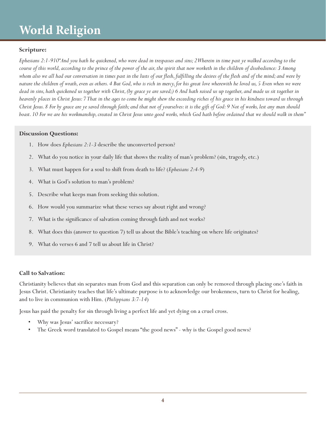#### **Scripture:**

*Ephesians 2:1-910"And you hath he quickened, who were dead in trespasses and sins; 2 Wherein in time past ye walked according to the course of this world, according to the prince of the power of the air, the spirit that now worketh in the children of disobedience: 3 Among whom also we all had our conversation in times past in the lusts of our flesh, fulfilling the desires of the flesh and of the mind; and were by nature the children of wrath, even as others. 4 But God, who is rich in mercy, for his great love wherewith he loved us, 5 Even when we were dead in sins, hath quickened us together with Christ, (by grace ye are saved;) 6 And hath raised us up together, and made us sit together in heavenly places in Christ Jesus: 7 That in the ages to come he might shew the exceeding riches of his grace in his kindness toward us through Christ Jesus. 8 For by grace are ye saved through faith; and that not of yourselves: it is the gift of God: 9 Not of works, lest any man should boast. 10 For we are his workmanship, created in Christ Jesus unto good works, which God hath before ordained that we should walk in them"*

#### **Discussion Questions:**

- 1. How does *Ephesians 2:1-3* describe the unconverted person?
- 2. What do you notice in your daily life that shows the reality of man's problem? (sin, tragedy, etc.)
- 3. What must happen for a soul to shift from death to life? (*Ephesians 2:4-9*)
- 4. What is God's solution to man's problem?
- 5. Describe what keeps man from seeking this solution.
- 6. How would you summarize what these verses say about right and wrong?
- 7. What is the significance of salvation coming through faith and not works?
- 8. What does this (answer to question 7) tell us about the Bible's teaching on where life originates?
- 9. What do verses 6 and 7 tell us about life in Christ?

#### **Call to Salvation:**

Christianity believes that sin separates man from God and this separation can only be removed through placing one's faith in Jesus Christ. Christianity teaches that life's ultimate purpose is to acknowledge our brokenness, turn to Christ for healing, and to live in communion with Him. (*Philippians 3:7-14*)

Jesus has paid the penalty for sin through living a perfect life and yet dying on a cruel cross.

- Why was Jesus' sacrifice necessary?
- The Greek word translated to Gospel means "the good news" why is the Gospel good news?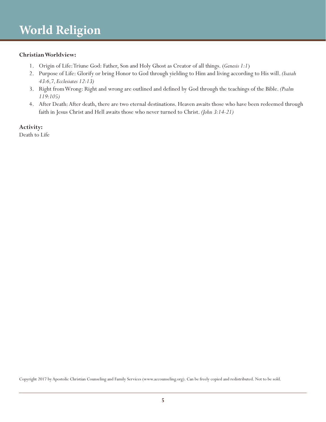#### **Christian Worldview:**

- 1. Origin of Life: Triune God: Father, Son and Holy Ghost as Creator of all things. (*Genesis 1:1*)
- 2. Purpose of Life: Glorify or bring Honor to God through yielding to Him and living according to His will. *(Isaiah 43:6,7, Ecclesiates 12:13)*
- 3. Right from Wrong: Right and wrong are outlined and defined by God through the teachings of the Bible. *(Psalm 119:105)*
- 4. After Death: After death, there are two eternal destinations. Heaven awaits those who have been redeemed through faith in Jesus Christ and Hell awaits those who never turned to Christ. *(John 3:14-21)*

**Activity:** 

Death to Life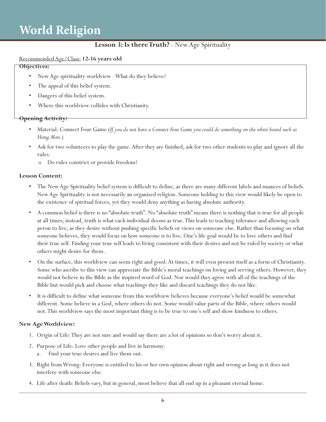### **Lesson 3: Is there Truth?** - New Age Spirituality

#### Recommended Age/Class: **12-16 years old**

#### **Objectives:**

- New Age spirituality worldview What do they believe?
- The appeal of this belief system.
- Dangers of this belief system.
- Where this worldview collides with Christianity.

#### **Opening Activity:**

- Material: Connect Four Game (*If you do not have a Connect Four Game you could do something on the white board such as Hang Man.*)
- Ask for two volunteers to play the game. After they are finished, ask for two other students to play and ignore all the rules.
	- o Do rules constrict or provide freedom?

#### **Lesson Content:**

- The New Age Spirituality belief system is difficult to define, as there are many different labels and nuances of beliefs. New Age Spirituality is not necessarily an organized religion. Someone holding to this view would likely be open to the existence of spiritual forces, yet they would deny anything as having absolute authority.
- A common belief is there is no "absolute truth". No "absolute truth" means there is nothing that is true for all people at all times; instead, truth is what each individual deems as true. This leads to teaching tolerance and allowing each peron to live, as they desire without pushing specific beliefs or views on someone else. Rather than focusing on what someone believes, they would focus on how someone is to live. One's life goal would be to love others and find their true self. Finding your true self leads to living consistent with their desires and not be ruled by society or what others might desire for them.
- On the surface, this worldview can seem right and good. At times, it will even present itself as a form of Christianity. Some who ascribe to this view can appreciate the Bible's moral teachings on loving and serving others. However, they would not believe in the Bible as the inspired word of God. Nor would they agree with all of the teachings of the Bible but would pick and choose what teachings they like and discard teachings they do not like.
- It is difficult to define what someone from this worldview believes because everyone's belief would be somewhat different. Some believe in a God, where others do not. Some would value parts of the Bible, where others would not. This worldview says the most important thing is to be true to one's self and show kindness to others.

#### **New Age Worldview:**

- 1. Origin of Life: They are not sure and would say there are a lot of opinions so don't worry about it.
- 2. Purpose of Life: Love other people and live in harmony.
	- Find your true desires and live them out.
- 3. Right from Wrong: Everyone is entitled to his or her own opinion about right and wrong as long as it does not interfere with someone else.
- 4. Life after death: Beliefs vary, but in general, most believe that all end up in a pleasant eternal home.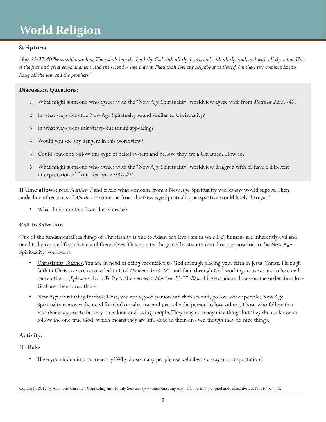#### **Scripture:**

*Matt 22:37-40 "Jesus said unto him, Thou shalt love the Lord thy God with all thy heart, and with all thy soul, and with all thy mind. This is the first and great commandment. And the second is like unto it, Thou shalt love thy neighbour as thyself. On these two commandments hang all the law and the prophets."*

#### **Discussion Questions:**

- 1. What might someone who agrees with the "New Age Spirituality" worldview agree with from *Matthew 22:37-40*?
- 2. In what ways does the New Age Spiritualty sound similar to Christianity?
- 3. In what ways does this viewpoint sound appealing?
- 4. Would you see any dangers in this worldview?
- 5. Could someone follow this type of belief system and believe they are a Christian? How so?
- 6. What might someone who agrees with the "New Age Spirituality" worldview disagree with or have a different interpretation of from *Matthew 22:37-40*?

**If time allows:** read *Matthew 7* and circle what someone from a New Age Spirituality worldview would suport. Then underline other parts of *Matthew 7* someone from the New Age Spirituality perspective would likely disregard.

• What do you notice from this exercise?

#### **Call to Salvation:**

One of the fundamental teachings of Christianity is due to Adam and Eve's sin in *Genesis 3*, humans are inherently evil and need to be rescued from Satan and themselves. This core teaching in Christianity is in direct opposition to the New Age Spirituality worldview.

- Christianity Teaches: You are in need of being reconciled to God through placing your faith in Jesus Christ. Through faith in Christ we are reconciled to God (*Romans 3:23-28*) and then through God working in us we are to love and serve others. (*Ephesians 2:1-13*) Read the verses in *Matthew 22:37-40* and have students focus on the order: first love God and then love others.
- New Age Spirituality Teaches: First, you are a good person and then second, go love other people. New Age Spiritualty removes the need for God or salvation and just tells the person to love others. Those who follow this worldview appear to be very nice, kind and loving people. They may do many nice things but they do not know or follow the one true God, which means they are still dead in their sin even though they do nice things.

#### **Activity:**

No Rules

• Have you ridden in a car recently? Why do so many people use vehicles as a way of transportation?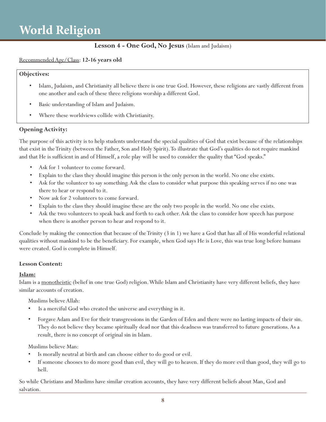### **Lesson 4 - One God, No Jesus** (Islam and Judaism)

#### Recommended Age/Class: **12-16 years old**

#### **Objectives:**

- Islam, Judaism, and Christianity all believe there is one true God. However, these religions are vastly different from one another and each of these three religions worship a different God.
- Basic understanding of Islam and Judaism.
- Where these worldviews collide with Christianity.

#### **Opening Activity:**

The purpose of this activity is to help students understand the special qualities of God that exist because of the relationships that exist in the Trinity (between the Father, Son and Holy Spirit). To illustrate that God's qualities do not require mankind and that He is sufficient in and of Himself, a role play will be used to consider the quality that "God speaks."

- Ask for 1 volunteer to come forward.
- Explain to the class they should imagine this person is the only person in the world. No one else exists.
- Ask for the volunteer to say something. Ask the class to consider what purpose this speaking serves if no one was there to hear or respond to it.
- Now ask for 2 volunteers to come forward.
- Explain to the class they should imagine these are the only two people in the world. No one else exists.
- Ask the two volunteers to speak back and forth to each other. Ask the class to consider how speech has purpose when there is another person to hear and respond to it.

Conclude by making the connection that because of the Trinity (3 in 1) we have a God that has all of His wonderful relational qualities without mankind to be the beneficiary. For example, when God says He is Love, this was true long before humans were created. God is complete in Himself.

#### **Lesson Content:**

#### **Islam:**

Islam is a monotheistic (belief in one true God) religion. While Islam and Christianity have very different beliefs, they have similar accounts of creation.

Muslims believe Allah:

- Is a merciful God who created the universe and everything in it.
- Forgave Adam and Eve for their transgressions in the Garden of Eden and there were no lasting impacts of their sin. They do not believe they became spiritually dead nor that this deadness was transferred to future generations. As a result, there is no concept of original sin in Islam.

Muslims believe Man:

- Is morally neutral at birth and can choose either to do good or evil.
- If someone chooses to do more good than evil, they will go to heaven. If they do more evil than good, they will go to hell.

So while Christians and Muslims have similar creation accounts, they have very different beliefs about Man, God and salvation.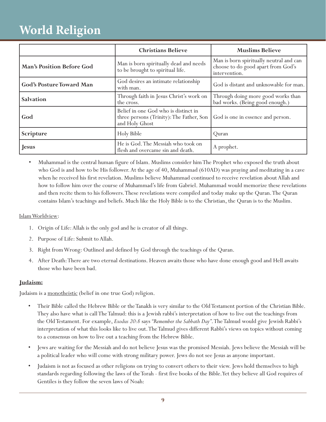|                                 | <b>Christians Believe</b>                                                                          | <b>Muslims Believe</b>                                                                         |
|---------------------------------|----------------------------------------------------------------------------------------------------|------------------------------------------------------------------------------------------------|
| Man's Position Before God       | Man is born spiritually dead and needs<br>to be brought to spiritual life.                         | Man is born spiritually neutral and can<br>choose to do good apart from God's<br>intervention. |
| <b>God's Posture Toward Man</b> | God desires an intimate relationship<br>with man.                                                  | God is distant and unknowable for man.                                                         |
| Salvation                       | Through faith in Jesus Christ's work on<br>the cross.                                              | Through doing more good works than<br>bad works. (Being good enough.)                          |
| God                             | Belief in one God who is distinct in<br>three persons (Trinity): The Father, Son<br>and Holy Ghost | God is one in essence and person.                                                              |
| Scripture                       | Holy Bible                                                                                         | Ouran                                                                                          |
| Jesus                           | He is God. The Messiah who took on<br>flesh and overcame sin and death.                            | A prophet.                                                                                     |

• Muhammad is the central human figure of Islam. Muslims consider him The Prophet who exposed the truth about who God is and how to be His follower. At the age of 40, Muhammad (610AD) was praying and meditating in a cave when he received his first revelation. Muslims believe Muhammad continued to receive revelation about Allah and how to follow him over the course of Muhammad's life from Gabriel. Muhammad would memorize these revelations and then recite them to his followers. These revelations were compiled and today make up the Quran. The Quran contains Islam's teachings and beliefs. Much like the Holy Bible is to the Christian, the Quran is to the Muslim.

#### Islam Worldview:

- 1. Origin of Life: Allah is the only god and he is creator of all things.
- 2. Purpose of Life: Submit to Allah.
- 3. Right from Wrong: Outlined and defined by God through the teachings of the Quran.
- 4. After Death: There are two eternal destinations. Heaven awaits those who have done enough good and Hell awaits those who have been bad.

#### **Judaism:**

Judaism is a <u>monotheistic</u> (belief in one true God) religion.

- Their Bible called the Hebrew Bible or the Tanakh is very similar to the Old Testament portion of the Christian Bible. They also have what is call The Talmud: this is a Jewish rabbi's interpretation of how to live out the teachings from the Old Testament. For example, *Exodus 20:8* says *"Remember the Sabbath Day"*. The Talmud would give Jewish Rabbi's interpretation of what this looks like to live out. The Talmud gives different Rabbi's views on topics without coming to a consensus on how to live out a teaching from the Hebrew Bible.
- Jews are waiting for the Messiah and do not believe Jesus was the promised Messiah. Jews believe the Messiah will be a political leader who will come with strong military power. Jews do not see Jesus as anyone important.
- Judaism is not as focused as other religions on trying to convert others to their view. Jews hold themselves to high standards regarding following the laws of the Torah - first five books of the Bible. Yet they believe all God requires of Gentiles is they follow the seven laws of Noah: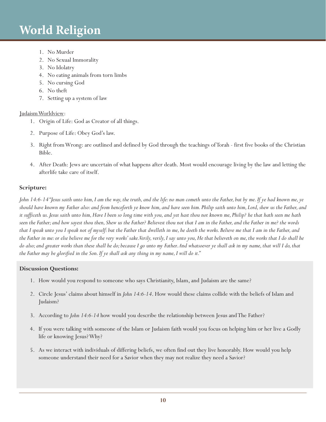- 1. No Murder
- 2. No Sexual Immorality
- 3. No Idolatry
- 4. No eating animals from torn limbs
- 5. No cursing God
- 6. No theft
- 7. Setting up a system of law

#### Judaism Worldview:

- 1. Origin of Life: God as Creator of all things.
- 2. Purpose of Life: Obey God's law.
- 3. Right from Wrong: are outlined and defined by God through the teachings of Torah first five books of the Christian Bible.
- 4. After Death: Jews are uncertain of what happens after death. Most would encourage living by the law and letting the afterlife take care of itself.

### **Scripture:**

*John 14:6-14 "Jesus saith unto him, I am the way, the truth, and the life: no man cometh unto the Father, but by me. If ye had known me, ye should have known my Father also: and from henceforth ye know him, and have seen him. Philip saith unto him, Lord, shew us the Father, and it sufficeth us. Jesus saith unto him, Have I been so long time with you, and yet hast thou not known me, Philip? he that hath seen me hath seen the Father; and how sayest thou then, Shew us the Father? Believest thou not that I am in the Father, and the Father in me? the words that I speak unto you I speak not of myself: but the Father that dwelleth in me, he doeth the works. Believe me that I am in the Father, and the Father in me: or else believe me for the very works' sake. Verily, verily, I say unto you, He that believeth on me, the works that I do shall he do also; and greater works than these shall he do; because I go unto my Father. And whatsoever ye shall ask in my name, that will I do, that the Father may be glorified in the Son. If ye shall ask any thing in my name, I will do it."*

#### **Discussion Questions:**

- 1. How would you respond to someone who says Christianity, Islam, and Judaism are the same?
- 2. Circle Jesus' claims about himself in *John 14:6-14*. How would these claims collide with the beliefs of Islam and Judaism?
- 3. According to *John 14:6-14* how would you describe the relationship between Jesus and The Father?
- 4. If you were talking with someone of the Islam or Judaism faith would you focus on helping him or her live a Godly life or knowing Jesus? Why?
- 5. As we interact with individuals of differing beliefs, we often find out they live honorably. How would you help someone understand their need for a Savior when they may not realize they need a Savior?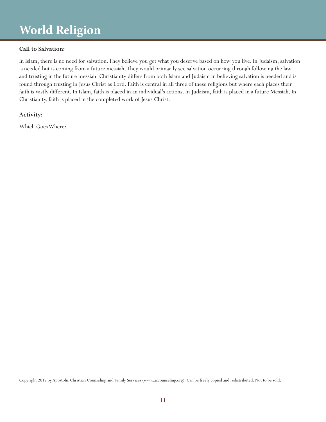#### **Call to Salvation:**

In Islam, there is no need for salvation. They believe you get what you deserve based on how you live. In Judaism, salvation is needed but is coming from a future messiah. They would primarily see salvation occurring through following the law and trusting in the future messiah. Christianity differs from both Islam and Judaism in believing salvation is needed and is found through trusting in Jesus Christ as Lord. Faith is central in all three of these religions but where each places their faith is vastly different. In Islam, faith is placed in an individual's actions. In Judaism, faith is placed in a future Messiah. In Christianity, faith is placed in the completed work of Jesus Christ.

#### **Activity:**

Which Goes Where?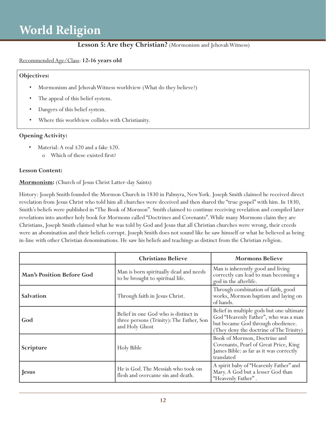### **Lesson 5: Are they Christian?** (Mormonism and Jehovah Witness)

#### Recommended Age/Class: **12-16 years old**

#### **Objectives:**

- Mormonism and Jehovah Witness worldview (What do they believe?)
- The appeal of this belief system.
- Dangers of this belief system.
- Where this worldview collides with Christianity.

#### **Opening Activity:**

- Material: A real \$20 and a fake \$20.
	- o Which of these existed first?

#### **Lesson Content:**

#### **Mormonism:** (Church of Jesus Christ Latter-day Saints)

History: Joseph Smith founded the Mormon Church in 1830 in Palmyra, New York. Joseph Smith claimed he received direct revelation from Jesus Christ who told him all churches were deceived and then shared the "true gospel" with him. In 1830, Smith's beliefs were published in "The Book of Mormon". Smith claimed to continue receiving revelation and compiled later revelations into another holy book for Mormons called "Doctrines and Covenants". While many Mormons claim they are Christians, Joseph Smith claimed what he was told by God and Jesus that all Christian churches were wrong, their creeds were an abomination and their beliefs corrupt. Joseph Smith does not sound like he saw himself or what he believed as being in-line with other Christian denominations. He saw his beliefs and teachings as distinct from the Christian religion.

|                                  | <b>Christians Believe</b>                                                                          | <b>Mormons Believe</b>                                                                                                                                           |
|----------------------------------|----------------------------------------------------------------------------------------------------|------------------------------------------------------------------------------------------------------------------------------------------------------------------|
| <b>Man's Position Before God</b> | Man is born spiritually dead and needs<br>to be brought to spiritual life.                         | Man is inherently good and living<br>correctly can lead to man becoming a<br>god in the afterlife.                                                               |
| Salvation                        | Through faith in Jesus Christ.                                                                     | Through combination of faith, good<br>works, Mormon baptism and laying on<br>of hands.                                                                           |
| God                              | Belief in one God who is distinct in<br>three persons (Trinity): The Father, Son<br>and Holy Ghost | Belief in multiple gods but one ultimate<br>God "Heavenly Father", who was a man<br>but became God through obedience.<br>(They deny the doctrine of The Trinity) |
| Scripture                        | Holy Bible                                                                                         | Book of Mormon, Doctrine and<br>Covenants, Pearl of Great Price, King<br>James Bible: as far as it was correctly<br>translated                                   |
| <b>Jesus</b>                     | He is God. The Messiah who took on<br>flesh and overcame sin and death.                            | A spirit baby of "Heavenly Father" and<br>Mary. A God but a lesser God than<br>"Heavenly Father".                                                                |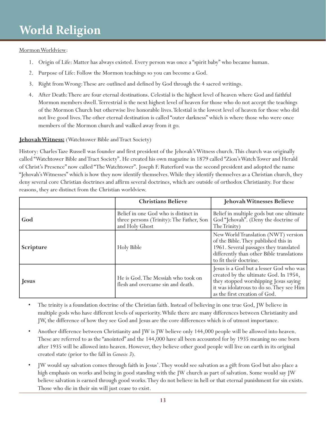#### Mormon Worldview:

- 1. Origin of Life: Matter has always existed. Every person was once a "spirit baby" who became human.
- 2. Purpose of Life: Follow the Mormon teachings so you can become a God.
- 3. Right from Wrong: These are outlined and defined by God through the 4 sacred writings.
- 4. After Death: There are four eternal destinations. Celestial is the highest level of heaven where God and faithful Mormon members dwell. Terrestrial is the next highest level of heaven for those who do not accept the teachings of the Mormon Church but otherwise live honorable lives. Telestial is the lowest level of heaven for those who did not live good lives. The other eternal destination is called "outer darkness" which is where those who were once members of the Mormon church and walked away from it go.

#### **Jehovah Witness:** (Watchtower Bible and Tract Society)

History: Charles Taze Russell was founder and first president of the Jehovah's Witness church. This church was originally called "Watchtower Bible and Tract Society". He created his own magazine in 1879 called "Zion's Watch Tower and Herald of Christ's Presence" now called "The Watchtower". Joseph F. Ruterford was the second president and adopted the name "Jehovah's Witnesses" which is how they now identify themselves. While they identify themselves as a Christian church, they deny several core Christian doctrines and affirm several doctrines, which are outside of orthodox Christianity. For these reasons, they are distinct from the Christian worldview.

|              | <b>Christians Believe</b>                                                                          | Jehovah Witnesses Believe                                                                                                                                                                              |
|--------------|----------------------------------------------------------------------------------------------------|--------------------------------------------------------------------------------------------------------------------------------------------------------------------------------------------------------|
| God          | Belief in one God who is distinct in<br>three persons (Trinity): The Father, Son<br>and Holy Ghost | Belief in multiple gods but one ultimate<br>God "Jehovah". (Deny the doctrine of<br>The Trinity)                                                                                                       |
| Scripture    | Holy Bible                                                                                         | New World Translation (NWT) version<br>of the Bible. They published this in<br>1961. Several passages they translated<br>differently than other Bible translations<br>to fit their doctrine.           |
| <b>Jesus</b> | He is God. The Messiah who took on<br>flesh and overcame sin and death.                            | Jesus is a God but a lesser God who was<br>created by the ultimate God. In 1954,<br>they stopped worshipping Jesus saying<br>it was idolatrous to do so. They see Him<br>as the first creation of God. |

- The trinity is a foundation doctrine of the Christian faith. Instead of believing in one true God, JW believe in multiple gods who have different levels of superiority. While there are many differences between Christianity and JW, the difference of how they see God and Jesus are the core differences which is of utmost importance.
- Another difference between Christianity and JW is JW believe only 144,000 people will be allowed into heaven. These are referred to as the "anointed" and the 144,000 have all been accounted for by 1935 meaning no one born after 1935 will be allowed into heaven. However, they believe other good people will live on earth in its original created state (prior to the fall in *Genesis 3*).
- JW would say salvation comes through faith in Jesus'. They would see salvation as a gift from God but also place a high emphasis on works and being in good standing with the JW church as part of salvation. Some would say JW believe salvation is earned through good works. They do not believe in hell or that eternal punishment for sin exists. Those who die in their sin will just cease to exist.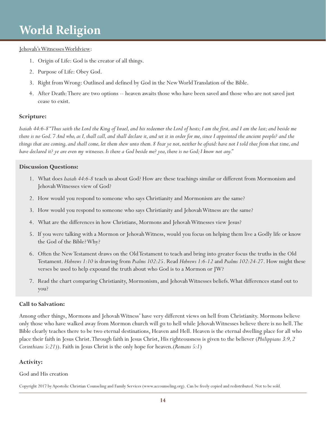#### Jehovah's Witnesses Worldview:

- 1. Origin of Life: God is the creator of all things.
- 2. Purpose of Life: Obey God.
- 3. Right from Wrong: Outlined and defined by God in the New World Translation of the Bible.
- 4. After Death: There are two options -- heaven awaits those who have been saved and those who are not saved just cease to exist.

#### **Scripture:**

*Isaiah 44:6-8 "Thus saith the Lord the King of Israel, and his redeemer the Lord of hosts; I am the first, and I am the last; and beside me there is no God. 7 And who, as I, shall call, and shall declare it, and set it in order for me, since I appointed the ancient people? and the things that are coming, and shall come, let them shew unto them. 8 Fear ye not, neither be afraid: have not I told thee from that time, and have declared it? ye are even my witnesses. Is there a God beside me? yea, there is no God; I know not any."*

#### **Discussion Questions:**

- 1. What does *Isaiah 44:6-8* teach us about God? How are these teachings similar or different from Mormonism and Jehovah Witnesses view of God?
- 2. How would you respond to someone who says Christianity and Mormonism are the same?
- 3. How would you respond to someone who says Christianity and Jehovah Witness are the same?
- 4. What are the differences in how Christians, Mormons and Jehovah Witnesses view Jesus?
- 5. If you were talking with a Mormon or Jehovah Witness, would you focus on helping them live a Godly life or know the God of the Bible? Why?
- 6. Often the New Testament draws on the Old Testament to teach and bring into greater focus the truths in the Old Testament. *Hebrews 1:10* is drawing from *Psalms 102:25*. Read *Hebrews 1:6-12* and *Psalms 102:24-27*. How might these verses be used to help expound the truth about who God is to a Mormon or JW?
- 7. Read the chart comparing Christianity, Mormonism, and Jehovah Witnesses beliefs. What differences stand out to you?

#### **Call to Salvation:**

Among other things, Mormons and Jehovah Witness' have very different views on hell from Christianity. Mormons believe only those who have walked away from Mormon church will go to hell while Jehovah Witnesses believe there is no hell. The Bible clearly teaches there to be two eternal destinations, Heaven and Hell. Heaven is the eternal dwelling place for all who place their faith in Jesus Christ. Through faith in Jesus Christ, His righteousness is given to the believer (*Philippians 3:9, 2 Corinthians 5:21*)). Faith in Jesus Christ is the only hope for heaven.(*Romans 5:1*)

#### **Activity:**

#### God and His creation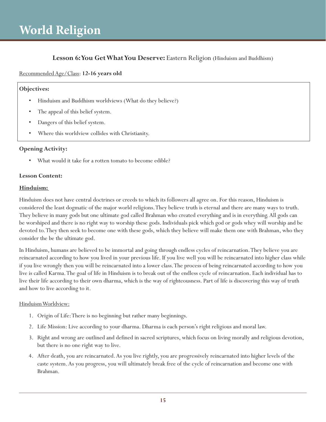### Lesson 6: You Get What You Deserve: Eastern Religion (Hinduism and Buddhism)

#### Recommended Age/Class: **12-16 years old**

#### **Objectives:**

- Hinduism and Buddhism worldviews (What do they believe?)
- The appeal of this belief system.
- Dangers of this belief system.
- Where this worldview collides with Christianity.

#### **Opening Activity:**

What would it take for a rotten tomato to become edible?

#### **Lesson Content:**

#### **Hinduism:**

Hinduism does not have central doctrines or creeds to which its followers all agree on. For this reason, Hinduism is considered the least dogmatic of the major world religions. They believe truth is eternal and there are many ways to truth. They believe in many gods but one ultimate god called Brahman who created everything and is in everything. All gods can be worshiped and there is no right way to worship these gods. Individuals pick which god or gods whey will worship and be devoted to. They then seek to become one with these gods, which they believe will make them one with Brahman, who they consider the be the ultimate god.

In Hinduism, humans are believed to be immortal and going through endless cycles of reincarnation. They believe you are reincarnated according to how you lived in your previous life. If you live well you will be reincarnated into higher class while if you live wrongly then you will be reincarnated into a lower class. The process of being reincarnated according to how you live is called Karma. The goal of life in Hinduism is to break out of the endless cycle of reincarnation. Each individual has to live their life according to their own dharma, which is the way of righteousness. Part of life is discovering this way of truth and how to live according to it.

#### Hinduism Worldview:

- 1. Origin of Life: There is no beginning but rather many beginnings.
- 2. Life Mission: Live according to your dharma. Dharma is each person's right religious and moral law.
- 3. Right and wrong are outlined and defined in sacred scriptures, which focus on living morally and religious devotion, but there is no one right way to live.
- 4. After death, you are reincarnated. As you live rightly, you are progressively reincarnated into higher levels of the caste system. As you progress, you will ultimately break free of the cycle of reincarnation and become one with Brahman.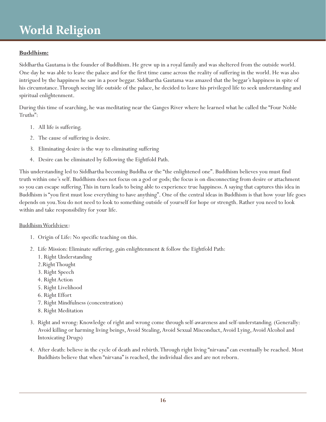### **Buddhism:**

Siddhartha Gautama is the founder of Buddhism. He grew up in a royal family and was sheltered from the outside world. One day he was able to leave the palace and for the first time came across the reality of suffering in the world. He was also intrigued by the happiness he saw in a poor beggar. Siddhartha Gautama was amazed that the beggar's happiness in spite of his circumstance. Through seeing life outside of the palace, he decided to leave his privileged life to seek understanding and spiritual enlightenment.

During this time of searching, he was meditating near the Ganges River where he learned what he called the "Four Noble Truths":

- 1. All life is suffering.
- 2. The cause of suffering is desire.
- 3. Eliminating desire is the way to eliminating suffering
- 4. Desire can be eliminated by following the Eightfold Path.

This understanding led to Siddhartha becoming Buddha or the "the enlightened one". Buddhism believes you must find truth within one's self. Buddhism does not focus on a god or gods; the focus is on disconnecting from desire or attachment so you can escape suffering. This in turn leads to being able to experience true happiness. A saying that captures this idea in Buddhism is "you first must lose everything to have anything". One of the central ideas in Buddhism is that how your life goes depends on you. You do not need to look to something outside of yourself for hope or strength. Rather you need to look within and take responsibility for your life.

#### Buddhism Worldview:

- 1. Origin of Life: No specific teaching on this.
- 2. Life Mission: Eliminate suffering, gain enlightenment & follow the Eightfold Path:
	- 1. Right Understanding
	- 2.Right Thought
	- 3. Right Speech
	- 4. Right Action
	- 5. Right Livelihood
	- 6. Right Effort
	- 7. Right Mindfulness (concentration)
	- 8. Right Meditation
- 3. Right and wrong: Knowledge of right and wrong come through self-awareness and self-understanding. (Generally: Avoid killing or harming living beings, Avoid Stealing, Avoid Sexual Misconduct, Avoid Lying, Avoid Alcohol and Intoxicating Drugs)
- 4. After death: believe in the cycle of death and rebirth. Through right living "nirvana" can eventually be reached. Most Buddhists believe that when "nirvana" is reached, the individual dies and are not reborn.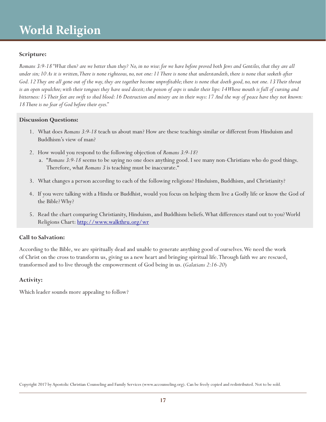#### **Scripture:**

*Romans 3:9-18 "What then? are we better than they? No, in no wise: for we have before proved both Jews and Gentiles, that they are all under sin; 10 As it is written, There is none righteous, no, not one: 11 There is none that understandeth, there is none that seeketh after God. 12 They are all gone out of the way, they are together become unprofitable; there is none that doeth good, no, not one. 13 Their throat is an open sepulchre; with their tongues they have used deceit; the poison of asps is under their lips: 14 Whose mouth is full of cursing and bitterness: 15 Their feet are swift to shed blood: 16 Destruction and misery are in their ways: 17 And the way of peace have they not known: 18 There is no fear of God before their eyes."*

#### **Discussion Questions:**

- 1. What does *Romans 3:9-18* teach us about man? How are these teachings similar or different from Hinduism and Buddhism's view of man?
- 2. How would you respond to the following objection of *Romans 3:9-18*?
	- a. "*Romans 3:9-18* seems to be saying no one does anything good. I see many non-Christians who do good things. Therefore, what *Romans 3* is teaching must be inaccurate."
- 3. What changes a person according to each of the following religions? Hinduism, Buddhism, and Christianity?
- 4. If you were talking with a Hindu or Buddhist, would you focus on helping them live a Godly life or know the God of the Bible? Why?
- 5. Read the chart comparing Christianity, Hinduism, and Buddhism beliefs. What differences stand out to you? World Religions Chart: http://www.walkthru.org/wr

#### **Call to Salvation:**

According to the Bible, we are spiritually dead and unable to generate anything good of ourselves. We need the work of Christ on the cross to transform us, giving us a new heart and bringing spiritual life. Through faith we are rescued, transformed and to live through the empowerment of God being in us. (*Galatians 2:16-20*)

#### **Activity:**

Which leader sounds more appealing to follow?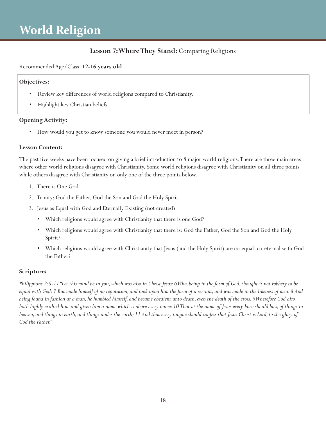### **Lesson 7: Where They Stand:** Comparing Religions

#### Recommended Age/Class: **12-16 years old**

#### **Objectives:**

- Review key differences of world religions compared to Christianity.
- Highlight key Christian beliefs.

#### **Opening Activity:**

• How would you get to know someone you would never meet in person?

#### **Lesson Content:**

The past five weeks have been focused on giving a brief introduction to 8 major world religions. There are three main areas where other world religions disagree with Christianity. Some world religions disagree with Christianity on all three points while others disagree with Christianity on only one of the three points below.

- 1. There is One God
- 2. Trinity: God the Father, God the Son and God the Holy Spirit.
- 3. Jesus as Equal with God and Eternally Existing (not created).
	- Which religions would agree with Christianity that there is one God?
	- Which religions would agree with Christianity that there is: God the Father, God the Son and God the Holy Spirit?
	- Which religions would agree with Christianity that Jesus (and the Holy Spirit) are co-equal, co-eternal with God the Father?

#### **Scripture:**

*Philippians 2:5-11 "Let this mind be in you, which was also in Christ Jesus: 6 Who, being in the form of God, thought it not robbery to be equal with God: 7 But made himself of no reputation, and took upon him the form of a servant, and was made in the likeness of men: 8 And being found in fashion as a man, he humbled himself, and became obedient unto death, even the death of the cross. 9 Wherefore God also hath highly exalted him, and given him a name which is above every name: 10 That at the name of Jesus every knee should bow, of things in heaven, and things in earth, and things under the earth; 11 And that every tongue should confess that Jesus Christ is Lord, to the glory of God the Father."*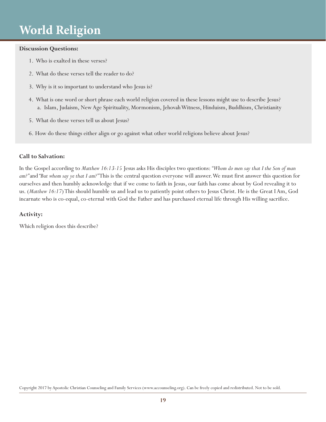#### **Discussion Questions:**

- 1. Who is exalted in these verses?
- 2. What do these verses tell the reader to do?
- 3. Why is it so important to understand who Jesus is?
- 4. What is one word or short phrase each world religion covered in these lessons might use to describe Jesus? a. Islam, Judaism, New Age Spirituality, Mormonism, Jehovah Witness, Hinduism, Buddhism, Christianity
- 5. What do these verses tell us about Jesus?
- 6. How do these things either align or go against what other world religions believe about Jesus?

#### **Call to Salvation:**

In the Gospel according to *Matthew 16:13-15* Jesus asks His disciples two questions: *"Whom do men say that I the Son of man am?"* and *"But whom say ye that I am?"* This is the central question everyone will answer. We must first answer this question for ourselves and then humbly acknowledge that if we come to faith in Jesus, our faith has come about by God revealing it to us. (*Matthew 16:17*) This should humble us and lead us to patiently point others to Jesus Christ. He is the Great I Am, God incarnate who is co-equal, co-eternal with God the Father and has purchased eternal life through His willing sacrifice.

#### **Activity:**

Which religion does this describe?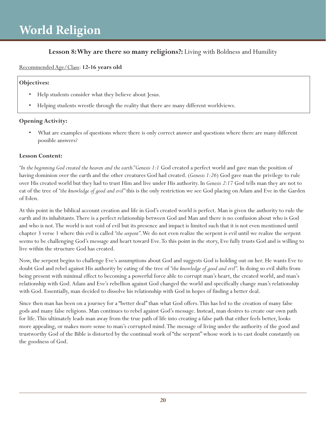### **Lesson 8: Why are there so many religions?:** Living with Boldness and Humility

### Recommended Age/Class: **12-16 years old**

#### **Objectives:**

- Help students consider what they believe about Jesus.
- Helping students wrestle through the reality that there are many different worldviews.

### **Opening Activity:**

What are examples of questions where there is only correct answer and questions where there are many different possible answers?

#### **Lesson Content:**

*"In the beginning God created the heaven and the earth." Genesis 1:1* God created a perfect world and gave man the position of having dominion over the earth and the other creatures God had created. (*Genesis 1:26*) God gave man the privilege to rule over His created world but they had to trust Him and live under His authority. In *Genesis 2:17* God tells man they are not to eat of the tree of *"the knowledge of good and evil"* this is the only restriction we see God placing on Adam and Eve in the Garden of Eden.

At this point in the biblical account creation and life in God's created world is perfect. Man is given the authority to rule the earth and its inhabitants. There is a perfect relationship between God and Man and there is no confusion about who is God and who is not. The world is not void of evil but its presence and impact is limited such that it is not even mentioned until chapter 3 verse 1 where this evil is called *"the serpent"*. We do not even realize the serpent is evil until we realize the serpent seems to be challenging God's message and heart toward Eve. To this point in the story, Eve fully trusts God and is willing to live within the structure God has created.

Now, the serpent begins to challenge Eve's assumptions about God and suggests God is holding out on her. He wants Eve to doubt God and rebel against His authority by eating of the tree of *"the knowledge of good and evil"*. In doing so evil shifts from being present with minimal effect to becoming a powerful force able to corrupt man's heart, the created world, and man's relationship with God. Adam and Eve's rebellion against God changed the world and specifically change man's relationship with God. Essentially, man decided to dissolve his relationship with God in hopes of finding a better deal.

Since then man has been on a journey for a "better deal" than what God offers. This has led to the creation of many false gods and many false religions. Man continues to rebel against God's message. Instead, man desires to create our own path for life. This ultimately leads man away from the true path of life into creating a false path that either feels better, looks more appealing, or makes more sense to man's corrupted mind. The message of living under the authority of the good and trustworthy God of the Bible is distorted by the continual work of "the serpent" whose work is to cast doubt constantly on the goodness of God.